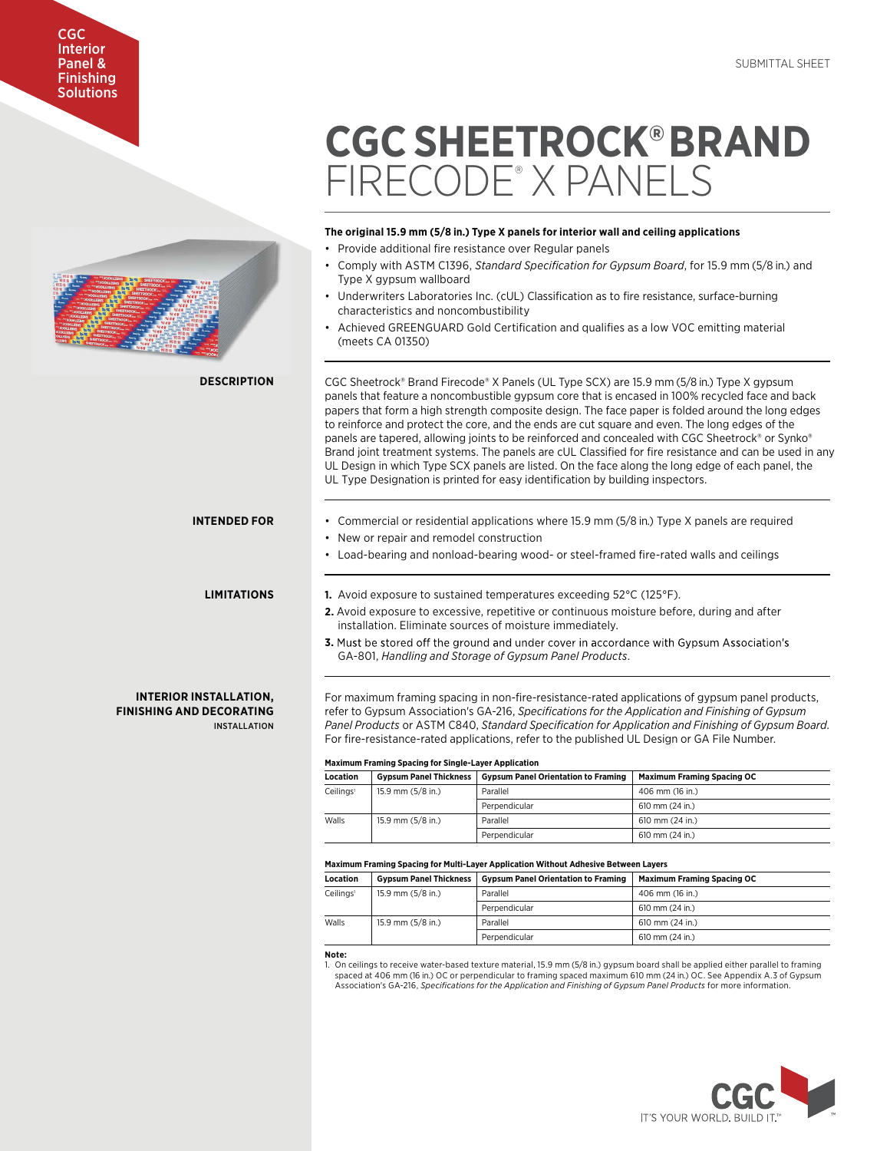# Interior Panel & Finishing **Solutions**

CGC



# **CGC SHEETROCK®BRAND**  FIRECODE® X PANELS

# **The original 15.9 mm (5/8 in.) Type X panels for interior wall and ceiling applications**

- Provide additional fire resistance over Regular panels
- Comply with ASTM C1396, *Standard Specification for Gypsum Board*, for 15.9 mm (5/8 in.) and Type X gypsum wallboard
- Underwriters Laboratories Inc. (cUL) Classification as to fire resistance, surface-burning characteristics and noncombustibility
- Achieved GREENGUARD Gold Certification and qualifies as a low VOC emitting material (meets CA 01350)

CGC Sheetrock® Brand Firecode® X Panels (UL Type SCX) are 15.9 mm (5/8 in.) Type X gypsum panels that feature a noncombustible gypsum core that is encased in 100% recycled face and back papers that form a high strength composite design. The face paper is folded around the long edges to reinforce and protect the core, and the ends are cut square and even. The long edges of the panels are tapered, allowing joints to be reinforced and concealed with CGC Sheetrock® or Synko® Brand joint treatment systems. The panels are cUL Classified for fire resistance and can be used in any UL Design in which Type SCX panels are listed. On the face along the long edge of each panel, the UL Type Designation is printed for easy identification by building inspectors.

## **INTENDED FOR**

**DESCRIPTION**

# **LIMITATIONS**

INSTALL ATION

**INTERIOR INSTALLATION, FINISHING AND DECORATING** **1.** Avoid exposure to sustained temperatures exceeding 52°C (125°F).

**2.** Avoid exposure to excessive, repetitive or continuous moisture before, during and after installation. Eliminate sources of moisture immediately.

• Load-bearing and nonload-bearing wood- or steel-framed fire-rated walls and ceilings

• Commercial or residential applications where 15.9 mm (5/8 in.) Type X panels are required

3. Must be stored off the ground and under cover in accordance with Gypsum Association's GA-801, *Handling and Storage of Gypsum Panel Products*.

For maximum framing spacing in non-fire-resistance-rated applications of gypsum panel products, refer to Gypsum Association's GA-216, *Specifications for the Application and Finishing of Gypsum Panel Products* or ASTM C840, *Standard Specification for Application and Finishing of Gypsum Board*. For fire-resistance-rated applications, refer to the published UL Design or GA File Number.

## **Maximum Framing Spacing for Single-Layer Application**

• New or repair and remodel construction

| <b>Location</b>                            | <b>Gypsum Panel Thickness</b> | <b>Gypsum Panel Orientation to Framing</b> | <b>Maximum Framing Spacing OC</b> |  |
|--------------------------------------------|-------------------------------|--------------------------------------------|-----------------------------------|--|
| Ceilings <sup>1</sup><br>15.9 mm (5/8 in.) |                               | Parallel                                   | 406 mm (16 in.)                   |  |
|                                            |                               | Perpendicular                              | $610$ mm $(24$ in.)               |  |
| Walls                                      | 15.9 mm (5/8 in.)             | Parallel                                   | 610 mm (24 in.)                   |  |
|                                            |                               | Perpendicular                              | 610 mm (24 in.)                   |  |

### **Maximum Framing Spacing for Multi-Layer Application Without Adhesive Between Layers**

| <b>Location</b>       | <b>Gypsum Panel Thickness</b> | <b>Gypsum Panel Orientation to Framing</b> | <b>Maximum Framing Spacing OC</b> |
|-----------------------|-------------------------------|--------------------------------------------|-----------------------------------|
| Ceilings <sup>1</sup> | 15.9 mm (5/8 in.)             | Parallel                                   | 406 mm (16 in.)                   |
|                       |                               | Perpendicular                              | 610 mm (24 in.)                   |
| Walls                 | 15.9 mm $(5/8$ in.)           | Parallel                                   | 610 mm (24 in.)                   |
|                       |                               | Perpendicular                              | 610 mm (24 in.)                   |

**Note:**

1. On ceilings to receive water-based texture material, 15.9 mm (5/8 in.) gypsum board shall be applied either parallel to framing spaced at 406 mm (16 in.) OC or perpendicular to framing spaced maximum 610 mm (24 in.) OC. See Appendix A.3 of Gypsum Association's GA-216, *Specifications for the Application and Finishing of Gypsum Panel Products* for more information.

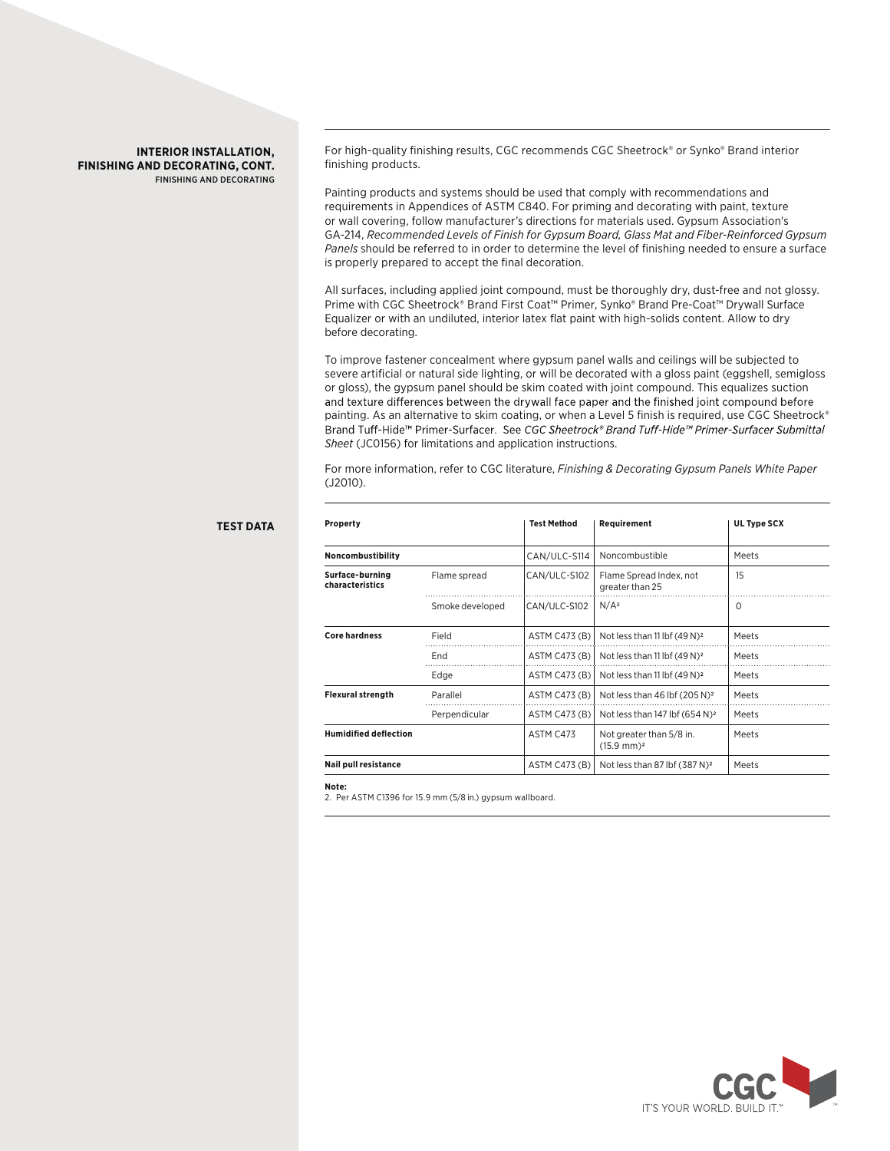## **INTERIOR INSTALLATION, FINISHING AND DECORATING, CONT.** FINISHING AND DECORATING

For high-quality finishing results, CGC recommends CGC Sheetrock® or Synko® Brand interior finishing products.

Painting products and systems should be used that comply with recommendations and requirements in Appendices of ASTM C840. For priming and decorating with paint, texture or wall covering, follow manufacturer's directions for materials used. Gypsum Association's GA-214, *Recommended Levels of Finish for Gypsum Board, Glass Mat and Fiber-Reinforced Gypsum Panels* should be referred to in order to determine the level of finishing needed to ensure a surface is properly prepared to accept the final decoration.

All surfaces, including applied joint compound, must be thoroughly dry, dust-free and not glossy. Prime with CGC Sheetrock® Brand First Coat™ Primer, Synko® Brand Pre-Coat™ Drywall Surface Equalizer or with an undiluted, interior latex flat paint with high-solids content. Allow to dry before decorating.

To improve fastener concealment where gypsum panel walls and ceilings will be subjected to severe artificial or natural side lighting, or will be decorated with a gloss paint (eggshell, semigloss or gloss), the gypsum panel should be skim coated with joint compound. This equalizes suction and texture differences between the drywall face paper and the finished joint compound before painting. As an alternative to skim coating, or when a Level 5 finish is required, use CGC Sheetrock®<br>Brand Tuff-Hide™ Primer-Surfacer. See CGC Sheetrock® Brand Tuff-Hide™ Primer-Surfacer Submittal *Sheet* (JC0156) for limitations and application instructions.

For more information, refer to CGC literature, *Finishing & Decorating Gypsum Panels White Paper* (J2010).

| Property<br>Noncombustibility |                 | <b>Test Method</b><br>CAN/ULC-S114 | Requirement<br>Noncombustible                     | UL Type SCX<br>Meets |
|-------------------------------|-----------------|------------------------------------|---------------------------------------------------|----------------------|
|                               |                 |                                    |                                                   |                      |
|                               | Smoke developed | CAN/ULC-S102                       | N/A <sup>2</sup>                                  | $\Omega$             |
| <b>Core hardness</b>          | Field           | ASTM C473 (B)                      | Not less than 11 lbf $(49 N)^2$                   | Meets                |
|                               | End             | ASTM C473 (B)                      | Not less than 11 lbf $(49 N)^2$                   | Meets                |
|                               | Edge            | ASTM C473 (B)                      | Not less than 11 lbf $(49 N)^2$                   | Meets                |
| <b>Flexural strength</b>      | Parallel        | ASTM C473 (B)                      | Not less than 46 lbf $(205 N)^2$                  | Meets                |
|                               | Perpendicular   | ASTM C473 (B)                      | Not less than 147 lbf $(654 N)^2$                 | Meets                |
| <b>Humidified deflection</b>  |                 | ASTM C473                          | Not greater than 5/8 in.<br>$(15.9 \text{ mm})^2$ | Meets                |
| Nail pull resistance          |                 | ASTM C473 (B)                      | Not less than 87 lbf (387 N) <sup>2</sup>         | Meets                |

#### **Note:**

**TEST DATA**

2. Per ASTM C1396 for 15.9 mm (5/8 in.) gypsum wallboard.